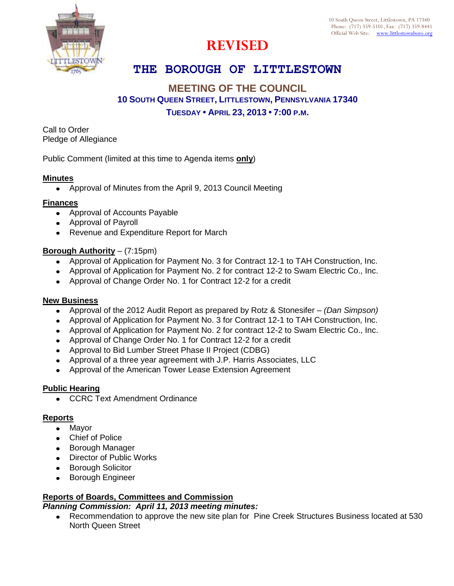

# **REVISED**

## **THE BOROUGH OF LITTLESTOWN**

## **MEETING OF THE COUNCIL 10 SOUTH QUEEN STREET, LITTLESTOWN, PENNSYLVANIA 17340 TUESDAY • APRIL 23, 2013 • 7:00 P.M.**

Call to Order Pledge of Allegiance

Public Comment (limited at this time to Agenda items **only**)

## **Minutes**

Ĺ

Approval of Minutes from the April 9, 2013 Council Meeting

#### **Finances**

- Approval of Accounts Payable
- Approval of Payroll
- Revenue and Expenditure Report for March

#### **Borough Authority** – (7:15pm)

- Approval of Application for Payment No. 3 for Contract 12-1 to TAH Construction, Inc.
- Approval of Application for Payment No. 2 for contract 12-2 to Swam Electric Co., Inc.
- Approval of Change Order No. 1 for Contract 12-2 for a credit

## **New Business**

- Approval of the 2012 Audit Report as prepared by Rotz & Stonesifer *(Dan Simpson)*  $\bullet$
- Approval of Application for Payment No. 3 for Contract 12-1 to TAH Construction, Inc.
- Approval of Application for Payment No. 2 for contract 12-2 to Swam Electric Co., Inc.
- Approval of Change Order No. 1 for Contract 12-2 for a credit
- Approval to Bid Lumber Street Phase II Project (CDBG)
- Approval of a three year agreement with J.P. Harris Associates, LLC
- Approval of the American Tower Lease Extension Agreement

## **Public Hearing**

• CCRC Text Amendment Ordinance

## **Reports**

- Mayor
- Chief of Police
- **•** Borough Manager
- Director of Public Works
- **Borough Solicitor**
- **•** Borough Engineer

## **Reports of Boards, Committees and Commission**

## *Planning Commission: April 11, 2013 meeting minutes:*

Recommendation to approve the new site plan for Pine Creek Structures Business located at 530 North Queen Street